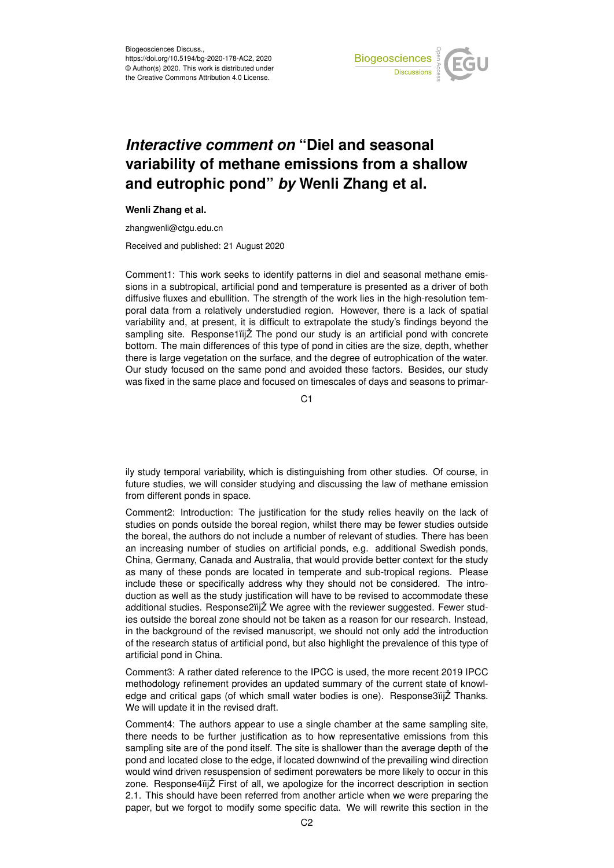

## *Interactive comment on* **"Diel and seasonal variability of methane emissions from a shallow and eutrophic pond"** *by* **Wenli Zhang et al.**

## **Wenli Zhang et al.**

zhangwenli@ctgu.edu.cn

Received and published: 21 August 2020

Comment1: This work seeks to identify patterns in diel and seasonal methane emissions in a subtropical, artificial pond and temperature is presented as a driver of both diffusive fluxes and ebullition. The strength of the work lies in the high-resolution temporal data from a relatively understudied region. However, there is a lack of spatial variability and, at present, it is difficult to extrapolate the study's findings beyond the sampling site. Response1ïijŽ The pond our study is an artificial pond with concrete bottom. The main differences of this type of pond in cities are the size, depth, whether there is large vegetation on the surface, and the degree of eutrophication of the water. Our study focused on the same pond and avoided these factors. Besides, our study was fixed in the same place and focused on timescales of days and seasons to primar-

C<sub>1</sub>

ily study temporal variability, which is distinguishing from other studies. Of course, in future studies, we will consider studying and discussing the law of methane emission from different ponds in space.

Comment2: Introduction: The justification for the study relies heavily on the lack of studies on ponds outside the boreal region, whilst there may be fewer studies outside the boreal, the authors do not include a number of relevant of studies. There has been an increasing number of studies on artificial ponds, e.g. additional Swedish ponds, China, Germany, Canada and Australia, that would provide better context for the study as many of these ponds are located in temperate and sub-tropical regions. Please include these or specifically address why they should not be considered. The introduction as well as the study justification will have to be revised to accommodate these additional studies. Response2ïijŽ We agree with the reviewer suggested. Fewer studies outside the boreal zone should not be taken as a reason for our research. Instead, in the background of the revised manuscript, we should not only add the introduction of the research status of artificial pond, but also highlight the prevalence of this type of artificial pond in China.

Comment3: A rather dated reference to the IPCC is used, the more recent 2019 IPCC methodology refinement provides an updated summary of the current state of knowledge and critical gaps (of which small water bodies is one). Response3ïijŽ Thanks. We will update it in the revised draft.

Comment4: The authors appear to use a single chamber at the same sampling site, there needs to be further justification as to how representative emissions from this sampling site are of the pond itself. The site is shallower than the average depth of the pond and located close to the edge, if located downwind of the prevailing wind direction would wind driven resuspension of sediment porewaters be more likely to occur in this zone. Response4ïijŽ First of all, we apologize for the incorrect description in section 2.1. This should have been referred from another article when we were preparing the paper, but we forgot to modify some specific data. We will rewrite this section in the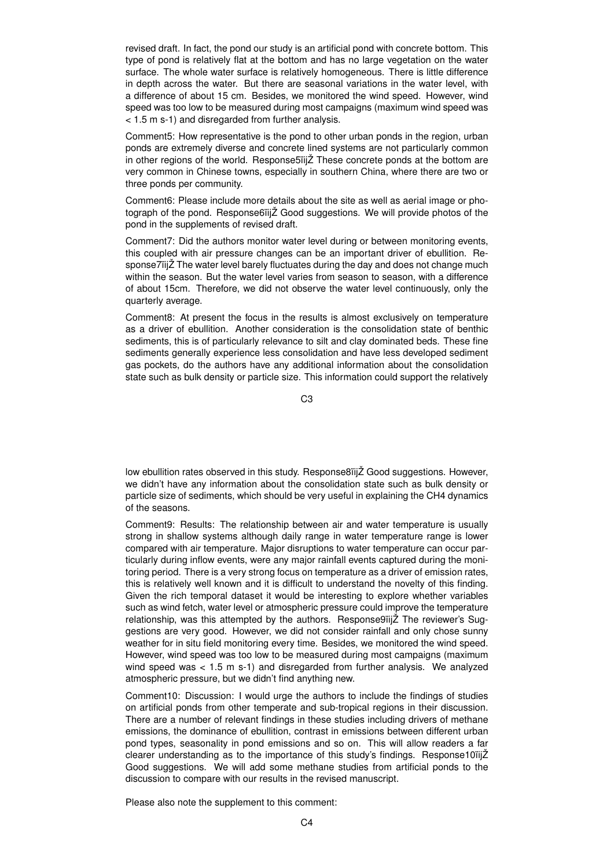revised draft. In fact, the pond our study is an artificial pond with concrete bottom. This type of pond is relatively flat at the bottom and has no large vegetation on the water surface. The whole water surface is relatively homogeneous. There is little difference in depth across the water. But there are seasonal variations in the water level, with a difference of about 15 cm. Besides, we monitored the wind speed. However, wind speed was too low to be measured during most campaigns (maximum wind speed was < 1.5 m s-1) and disregarded from further analysis.

Comment5: How representative is the pond to other urban ponds in the region, urban ponds are extremely diverse and concrete lined systems are not particularly common in other regions of the world. Response5ïijŽ These concrete ponds at the bottom are very common in Chinese towns, especially in southern China, where there are two or three ponds per community.

Comment6: Please include more details about the site as well as aerial image or photograph of the pond. Response6ïijŽ Good suggestions. We will provide photos of the pond in the supplements of revised draft.

Comment7: Did the authors monitor water level during or between monitoring events, this coupled with air pressure changes can be an important driver of ebullition. Response7ïijŽ The water level barely fluctuates during the day and does not change much within the season. But the water level varies from season to season, with a difference of about 15cm. Therefore, we did not observe the water level continuously, only the quarterly average.

Comment8: At present the focus in the results is almost exclusively on temperature as a driver of ebullition. Another consideration is the consolidation state of benthic sediments, this is of particularly relevance to silt and clay dominated beds. These fine sediments generally experience less consolidation and have less developed sediment gas pockets, do the authors have any additional information about the consolidation state such as bulk density or particle size. This information could support the relatively

C3

low ebullition rates observed in this study. Response8ïijŽ Good suggestions. However, we didn't have any information about the consolidation state such as bulk density or particle size of sediments, which should be very useful in explaining the CH4 dynamics of the seasons.

Comment9: Results: The relationship between air and water temperature is usually strong in shallow systems although daily range in water temperature range is lower compared with air temperature. Major disruptions to water temperature can occur particularly during inflow events, were any major rainfall events captured during the monitoring period. There is a very strong focus on temperature as a driver of emission rates, this is relatively well known and it is difficult to understand the novelty of this finding. Given the rich temporal dataset it would be interesting to explore whether variables such as wind fetch, water level or atmospheric pressure could improve the temperature relationship, was this attempted by the authors. Response9ïijŽ The reviewer's Suggestions are very good. However, we did not consider rainfall and only chose sunny weather for in situ field monitoring every time. Besides, we monitored the wind speed. However, wind speed was too low to be measured during most campaigns (maximum wind speed was  $< 1.5$  m s-1) and disregarded from further analysis. We analyzed atmospheric pressure, but we didn't find anything new.

Comment10: Discussion: I would urge the authors to include the findings of studies on artificial ponds from other temperate and sub-tropical regions in their discussion. There are a number of relevant findings in these studies including drivers of methane emissions, the dominance of ebullition, contrast in emissions between different urban pond types, seasonality in pond emissions and so on. This will allow readers a far clearer understanding as to the importance of this study's findings. Response10ïijŽ Good suggestions. We will add some methane studies from artificial ponds to the discussion to compare with our results in the revised manuscript.

Please also note the supplement to this comment: